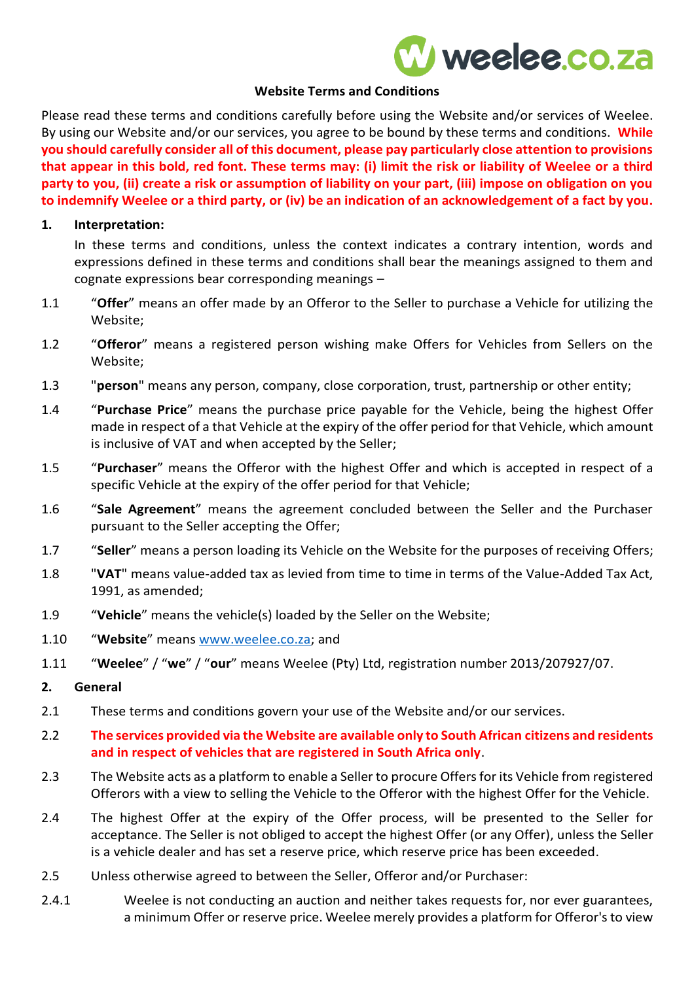# W weelee.co.za

#### **Website Terms and Conditions**

Please read these terms and conditions carefully before using the Website and/or services of Weelee. By using our Website and/or our services, you agree to be bound by these terms and conditions. **While you should carefully consider all of this document, please pay particularly close attention to provisions that appear in this bold, red font. These terms may: (i) limit the risk or liability of Weelee or a third party to you, (ii) create a risk or assumption of liability on your part, (iii) impose on obligation on you to indemnify Weelee or a third party, or (iv) be an indication of an acknowledgement of a fact by you.**

#### **1. Interpretation:**

In these terms and conditions, unless the context indicates a contrary intention, words and expressions defined in these terms and conditions shall bear the meanings assigned to them and cognate expressions bear corresponding meanings –

- 1.1 "**Offer**" means an offer made by an Offeror to the Seller to purchase a Vehicle for utilizing the Website;
- 1.2 "**Offeror**" means a registered person wishing make Offers for Vehicles from Sellers on the Website;
- 1.3 "**person**" means any person, company, close corporation, trust, partnership or other entity;
- 1.4 "**Purchase Price**" means the purchase price payable for the Vehicle, being the highest Offer made in respect of a that Vehicle at the expiry of the offer period for that Vehicle, which amount is inclusive of VAT and when accepted by the Seller;
- 1.5 "**Purchaser**" means the Offeror with the highest Offer and which is accepted in respect of a specific Vehicle at the expiry of the offer period for that Vehicle;
- 1.6 "**Sale Agreement**" means the agreement concluded between the Seller and the Purchaser pursuant to the Seller accepting the Offer;
- 1.7 "**Seller**" means a person loading its Vehicle on the Website for the purposes of receiving Offers;
- 1.8 "**VAT**" means value-added tax as levied from time to time in terms of the Value-Added Tax Act, 1991, as amended;
- 1.9 "**Vehicle**" means the vehicle(s) loaded by the Seller on the Website;
- 1.10 "**Website**" means [www.weelee.co.za;](http://www.weelee.co.za/) and
- 1.11 "**Weelee**" / "**we**" / "**our**" means Weelee (Pty) Ltd, registration number 2013/207927/07.

#### **2. General**

- 2.1 These terms and conditions govern your use of the Website and/or our services.
- 2.2 **The services provided via the Website are available only to South African citizens and residents and in respect of vehicles that are registered in South Africa only**.
- 2.3 The Website acts as a platform to enable a Seller to procure Offers for its Vehicle from registered Offerors with a view to selling the Vehicle to the Offeror with the highest Offer for the Vehicle.
- 2.4 The highest Offer at the expiry of the Offer process, will be presented to the Seller for acceptance. The Seller is not obliged to accept the highest Offer (or any Offer), unless the Seller is a vehicle dealer and has set a reserve price, which reserve price has been exceeded.
- 2.5 Unless otherwise agreed to between the Seller, Offeror and/or Purchaser:
- 2.4.1 Weelee is not conducting an auction and neither takes requests for, nor ever guarantees, a minimum Offer or reserve price. Weelee merely provides a platform for Offeror's to view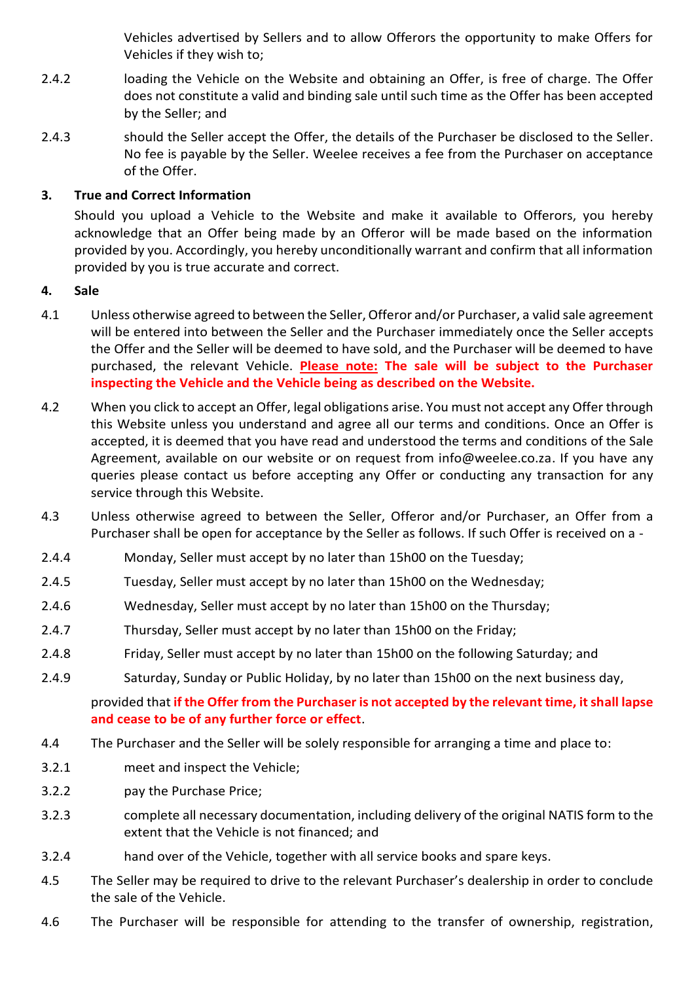Vehicles advertised by Sellers and to allow Offerors the opportunity to make Offers for Vehicles if they wish to;

- 2.4.2 loading the Vehicle on the Website and obtaining an Offer, is free of charge. The Offer does not constitute a valid and binding sale until such time as the Offer has been accepted by the Seller; and
- 2.4.3 should the Seller accept the Offer, the details of the Purchaser be disclosed to the Seller. No fee is payable by the Seller. Weelee receives a fee from the Purchaser on acceptance of the Offer.

# **3. True and Correct Information**

Should you upload a Vehicle to the Website and make it available to Offerors, you hereby acknowledge that an Offer being made by an Offeror will be made based on the information provided by you. Accordingly, you hereby unconditionally warrant and confirm that all information provided by you is true accurate and correct.

## **4. Sale**

- 4.1 Unless otherwise agreed to between the Seller, Offeror and/or Purchaser, a valid sale agreement will be entered into between the Seller and the Purchaser immediately once the Seller accepts the Offer and the Seller will be deemed to have sold, and the Purchaser will be deemed to have purchased, the relevant Vehicle. **Please note: The sale will be subject to the Purchaser inspecting the Vehicle and the Vehicle being as described on the Website.**
- 4.2 When you click to accept an Offer, legal obligations arise. You must not accept any Offer through this Website unless you understand and agree all our terms and conditions. Once an Offer is accepted, it is deemed that you have read and understood the terms and conditions of the Sale Agreement, available on our website or on request from info@weelee.co.za. If you have any queries please contact us before accepting any Offer or conducting any transaction for any service through this Website.
- 4.3 Unless otherwise agreed to between the Seller, Offeror and/or Purchaser, an Offer from a Purchaser shall be open for acceptance by the Seller as follows. If such Offer is received on a -
- 2.4.4 Monday, Seller must accept by no later than 15h00 on the Tuesday;
- 2.4.5 Tuesday, Seller must accept by no later than 15h00 on the Wednesday;
- 2.4.6 Wednesday, Seller must accept by no later than 15h00 on the Thursday;
- 2.4.7 Thursday, Seller must accept by no later than 15h00 on the Friday;
- 2.4.8 Friday, Seller must accept by no later than 15h00 on the following Saturday; and
- 2.4.9 Saturday, Sunday or Public Holiday, by no later than 15h00 on the next business day,

# provided that **if the Offer from the Purchaser is not accepted by the relevant time, it shall lapse and cease to be of any further force or effect**.

- 4.4 The Purchaser and the Seller will be solely responsible for arranging a time and place to:
- 3.2.1 meet and inspect the Vehicle;
- 3.2.2 pay the Purchase Price;
- 3.2.3 complete all necessary documentation, including delivery of the original NATIS form to the extent that the Vehicle is not financed; and
- 3.2.4 hand over of the Vehicle, together with all service books and spare keys.
- 4.5 The Seller may be required to drive to the relevant Purchaser's dealership in order to conclude the sale of the Vehicle.
- 4.6 The Purchaser will be responsible for attending to the transfer of ownership, registration,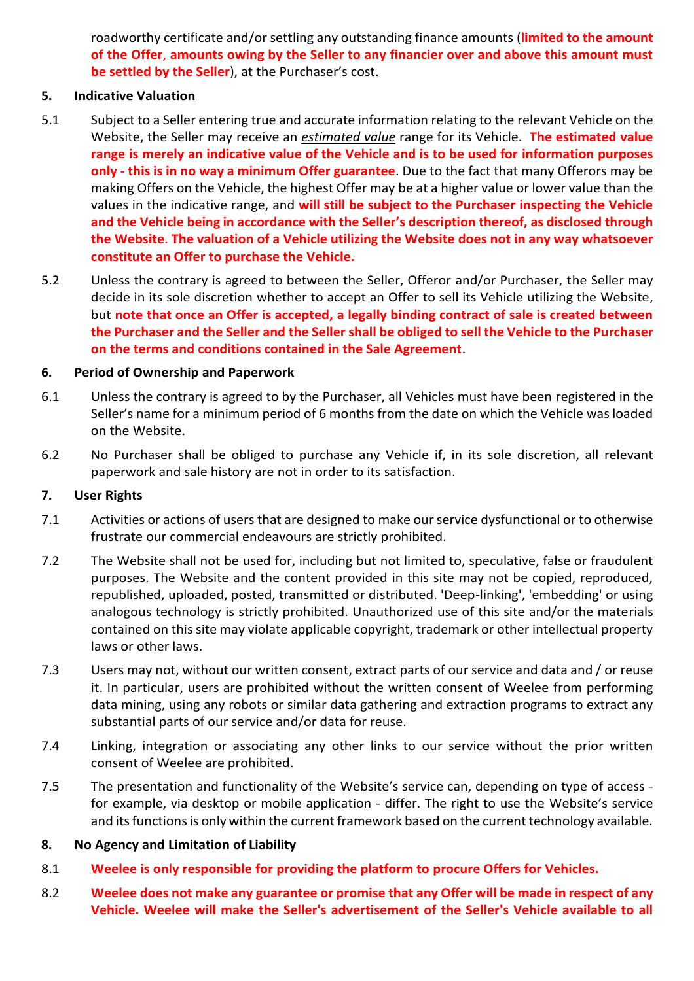roadworthy certificate and/or settling any outstanding finance amounts (**limited to the amount of the Offer**, **amounts owing by the Seller to any financier over and above this amount must be settled by the Seller**), at the Purchaser's cost.

#### **5. Indicative Valuation**

- 5.1 Subject to a Seller entering true and accurate information relating to the relevant Vehicle on the Website, the Seller may receive an *estimated value* range for its Vehicle. **The estimated value range is merely an indicative value of the Vehicle and is to be used for information purposes only - this is in no way a minimum Offer guarantee**. Due to the fact that many Offerors may be making Offers on the Vehicle, the highest Offer may be at a higher value or lower value than the values in the indicative range, and **will still be subject to the Purchaser inspecting the Vehicle and the Vehicle being in accordance with the Seller's description thereof, as disclosed through the Website**. **The valuation of a Vehicle utilizing the Website does not in any way whatsoever constitute an Offer to purchase the Vehicle.**
- 5.2 Unless the contrary is agreed to between the Seller, Offeror and/or Purchaser, the Seller may decide in its sole discretion whether to accept an Offer to sell its Vehicle utilizing the Website, but **note that once an Offer is accepted, a legally binding contract of sale is created between the Purchaser and the Seller and the Seller shall be obliged to sell the Vehicle to the Purchaser on the terms and conditions contained in the Sale Agreement**.

#### **6. Period of Ownership and Paperwork**

- 6.1 Unless the contrary is agreed to by the Purchaser, all Vehicles must have been registered in the Seller's name for a minimum period of 6 months from the date on which the Vehicle was loaded on the Website.
- 6.2 No Purchaser shall be obliged to purchase any Vehicle if, in its sole discretion, all relevant paperwork and sale history are not in order to its satisfaction.

#### **7. User Rights**

- 7.1 Activities or actions of users that are designed to make our service dysfunctional or to otherwise frustrate our commercial endeavours are strictly prohibited.
- 7.2 The Website shall not be used for, including but not limited to, speculative, false or fraudulent purposes. The Website and the content provided in this site may not be copied, reproduced, republished, uploaded, posted, transmitted or distributed. 'Deep-linking', 'embedding' or using analogous technology is strictly prohibited. Unauthorized use of this site and/or the materials contained on this site may violate applicable copyright, trademark or other intellectual property laws or other laws.
- 7.3 Users may not, without our written consent, extract parts of our service and data and / or reuse it. In particular, users are prohibited without the written consent of Weelee from performing data mining, using any robots or similar data gathering and extraction programs to extract any substantial parts of our service and/or data for reuse.
- 7.4 Linking, integration or associating any other links to our service without the prior written consent of Weelee are prohibited.
- 7.5 The presentation and functionality of the Website's service can, depending on type of access for example, via desktop or mobile application - differ. The right to use the Website's service and its functions is only within the current framework based on the current technology available.

## **8. No Agency and Limitation of Liability**

- 8.1 **Weelee is only responsible for providing the platform to procure Offers for Vehicles.**
- 8.2 **Weelee does not make any guarantee or promise that any Offer will be made in respect of any Vehicle. Weelee will make the Seller's advertisement of the Seller's Vehicle available to all**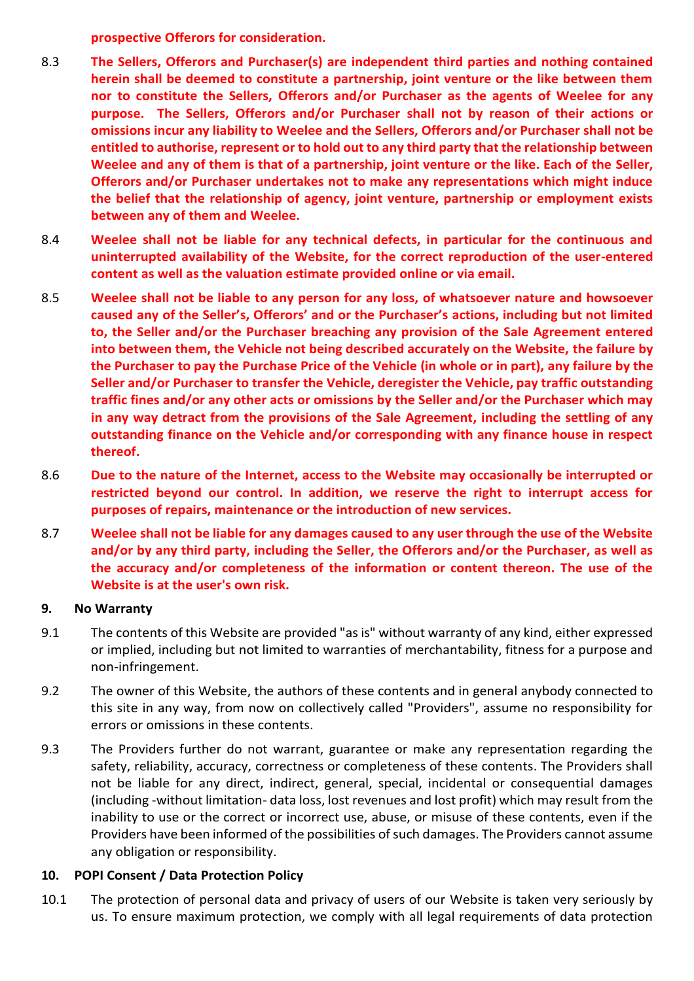**prospective Offerors for consideration.** 

- 8.3 **The Sellers, Offerors and Purchaser(s) are independent third parties and nothing contained herein shall be deemed to constitute a partnership, joint venture or the like between them nor to constitute the Sellers, Offerors and/or Purchaser as the agents of Weelee for any purpose. The Sellers, Offerors and/or Purchaser shall not by reason of their actions or omissions incur any liability to Weelee and the Sellers, Offerors and/or Purchaser shall not be entitled to authorise, represent or to hold out to any third party that the relationship between Weelee and any of them is that of a partnership, joint venture or the like. Each of the Seller, Offerors and/or Purchaser undertakes not to make any representations which might induce the belief that the relationship of agency, joint venture, partnership or employment exists between any of them and Weelee.**
- 8.4 **Weelee shall not be liable for any technical defects, in particular for the continuous and uninterrupted availability of the Website, for the correct reproduction of the user-entered content as well as the valuation estimate provided online or via email.**
- 8.5 **Weelee shall not be liable to any person for any loss, of whatsoever nature and howsoever caused any of the Seller's, Offerors' and or the Purchaser's actions, including but not limited to, the Seller and/or the Purchaser breaching any provision of the Sale Agreement entered into between them, the Vehicle not being described accurately on the Website, the failure by the Purchaser to pay the Purchase Price of the Vehicle (in whole or in part), any failure by the Seller and/or Purchaser to transfer the Vehicle, deregister the Vehicle, pay traffic outstanding traffic fines and/or any other acts or omissions by the Seller and/or the Purchaser which may in any way detract from the provisions of the Sale Agreement, including the settling of any outstanding finance on the Vehicle and/or corresponding with any finance house in respect thereof.**
- 8.6 **Due to the nature of the Internet, access to the Website may occasionally be interrupted or restricted beyond our control. In addition, we reserve the right to interrupt access for purposes of repairs, maintenance or the introduction of new services.**
- 8.7 **Weelee shall not be liable for any damages caused to any user through the use of the Website and/or by any third party, including the Seller, the Offerors and/or the Purchaser, as well as the accuracy and/or completeness of the information or content thereon. The use of the Website is at the user's own risk.**

## **9. No Warranty**

- 9.1 The contents of this Website are provided "as is" without warranty of any kind, either expressed or implied, including but not limited to warranties of merchantability, fitness for a purpose and non-infringement.
- 9.2 The owner of this Website, the authors of these contents and in general anybody connected to this site in any way, from now on collectively called "Providers", assume no responsibility for errors or omissions in these contents.
- 9.3 The Providers further do not warrant, guarantee or make any representation regarding the safety, reliability, accuracy, correctness or completeness of these contents. The Providers shall not be liable for any direct, indirect, general, special, incidental or consequential damages (including -without limitation- data loss, lost revenues and lost profit) which may result from the inability to use or the correct or incorrect use, abuse, or misuse of these contents, even if the Providers have been informed of the possibilities of such damages. The Providers cannot assume any obligation or responsibility.

# **10. POPI Consent / Data Protection Policy**

10.1 The protection of personal data and privacy of users of our Website is taken very seriously by us. To ensure maximum protection, we comply with all legal requirements of data protection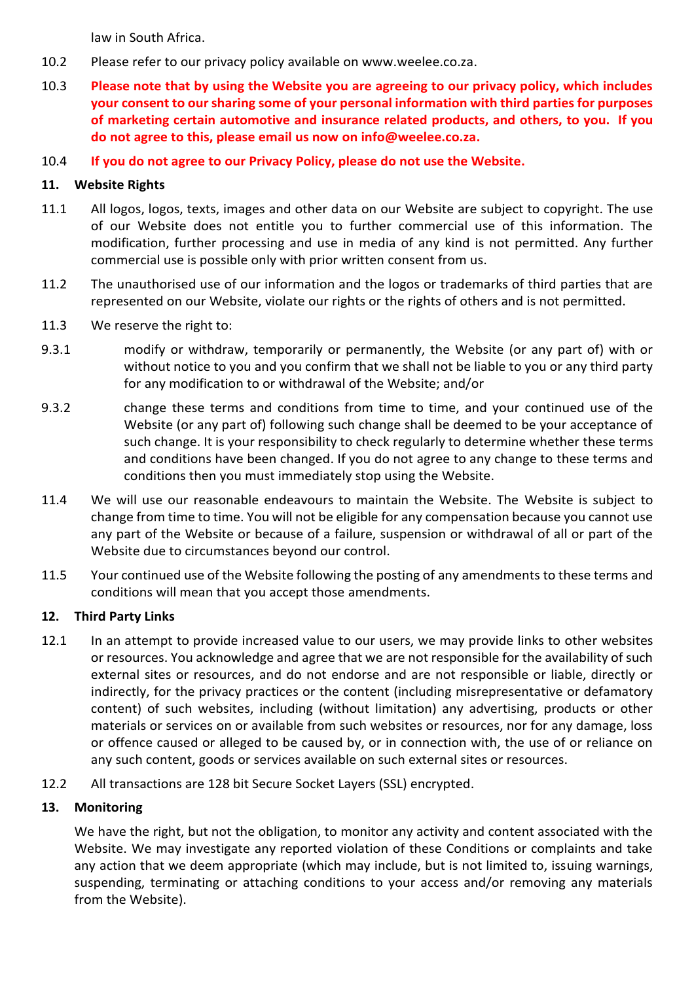law in South Africa.

- 10.2 Please refer to our privacy policy available on www.weelee.co.za.
- 10.3 **Please note that by using the Website you are agreeing to our privacy policy, which includes your consent to our sharing some of your personal information with third parties for purposes of marketing certain automotive and insurance related products, and others, to you. If you do not agree to this, please email us now on info@weelee.co.za.**
- 10.4 **If you do not agree to our Privacy Policy, please do not use the Website.**

# **11. Website Rights**

- 11.1 All logos, logos, texts, images and other data on our Website are subject to copyright. The use of our Website does not entitle you to further commercial use of this information. The modification, further processing and use in media of any kind is not permitted. Any further commercial use is possible only with prior written consent from us.
- 11.2 The unauthorised use of our information and the logos or trademarks of third parties that are represented on our Website, violate our rights or the rights of others and is not permitted.
- 11.3 We reserve the right to:
- 9.3.1 modify or withdraw, temporarily or permanently, the Website (or any part of) with or without notice to you and you confirm that we shall not be liable to you or any third party for any modification to or withdrawal of the Website; and/or
- 9.3.2 change these terms and conditions from time to time, and your continued use of the Website (or any part of) following such change shall be deemed to be your acceptance of such change. It is your responsibility to check regularly to determine whether these terms and conditions have been changed. If you do not agree to any change to these terms and conditions then you must immediately stop using the Website.
- 11.4 We will use our reasonable endeavours to maintain the Website. The Website is subject to change from time to time. You will not be eligible for any compensation because you cannot use any part of the Website or because of a failure, suspension or withdrawal of all or part of the Website due to circumstances beyond our control.
- 11.5 Your continued use of the Website following the posting of any amendments to these terms and conditions will mean that you accept those amendments.

## **12. Third Party Links**

- 12.1 In an attempt to provide increased value to our users, we may provide links to other websites or resources. You acknowledge and agree that we are not responsible for the availability of such external sites or resources, and do not endorse and are not responsible or liable, directly or indirectly, for the privacy practices or the content (including misrepresentative or defamatory content) of such websites, including (without limitation) any advertising, products or other materials or services on or available from such websites or resources, nor for any damage, loss or offence caused or alleged to be caused by, or in connection with, the use of or reliance on any such content, goods or services available on such external sites or resources.
- 12.2 All transactions are 128 bit Secure Socket Layers (SSL) encrypted.

# **13. Monitoring**

We have the right, but not the obligation, to monitor any activity and content associated with the Website. We may investigate any reported violation of these Conditions or complaints and take any action that we deem appropriate (which may include, but is not limited to, issuing warnings, suspending, terminating or attaching conditions to your access and/or removing any materials from the Website).